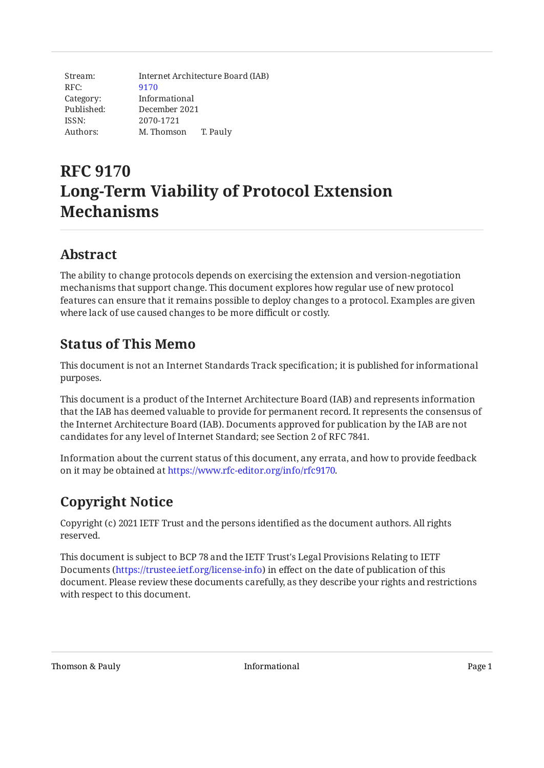| Stream:    | Internet Architecture Board (IAB) |
|------------|-----------------------------------|
| RFC:       | 9170                              |
| Category:  | Informational                     |
| Published: | December 2021                     |
| ISSN:      | 2070-1721                         |
| Authors:   | M. Thomson<br>T. Pauly            |

# **RFC 9170 Long-Term Viability of Protocol Extension Mechanisms**

### <span id="page-0-0"></span>**[Abstract](#page-0-0)**

The ability to change protocols depends on exercising the extension and version-negotiation mechanisms that support change. This document explores how regular use of new protocol features can ensure that it remains possible to deploy changes to a protocol. Examples are given where lack of use caused changes to be more difficult or costly.

# <span id="page-0-1"></span>**[Status of This Memo](#page-0-1)**

This document is not an Internet Standards Track specification; it is published for informational purposes.

This document is a product of the Internet Architecture Board (IAB) and represents information that the IAB has deemed valuable to provide for permanent record. It represents the consensus of the Internet Architecture Board (IAB). Documents approved for publication by the IAB are not candidates for any level of Internet Standard; see Section 2 of RFC 7841.

Information about the current status of this document, any errata, and how to provide feedback on it may be obtained at [https://www.rfc-editor.org/info/rfc9170.](https://www.rfc-editor.org/info/rfc9170)

# <span id="page-0-2"></span>**[Copyright Notice](#page-0-2)**

Copyright (c) 2021 IETF Trust and the persons identified as the document authors. All rights reserved.

This document is subject to BCP 78 and the IETF Trust's Legal Provisions Relating to IETF Documents (<https://trustee.ietf.org/license-info>) in effect on the date of publication of this document. Please review these documents carefully, as they describe your rights and restrictions with respect to this document.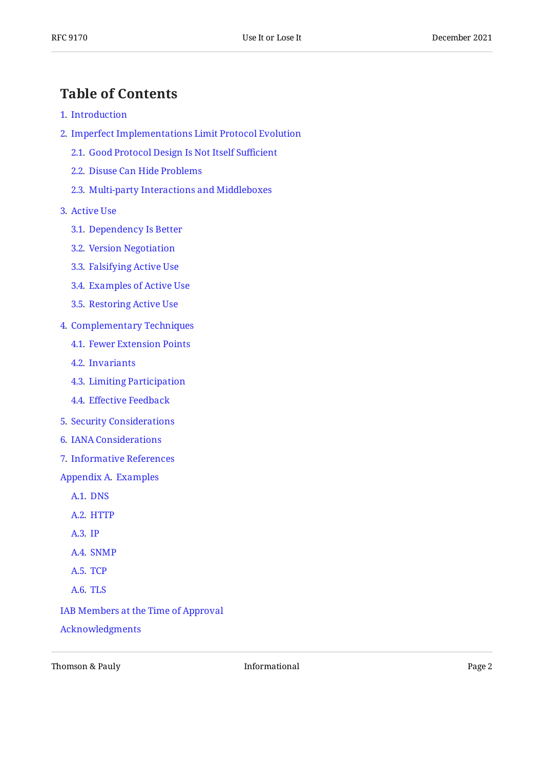### <span id="page-1-0"></span>**[Table of Contents](#page-1-0)**

- [1](#page-2-0). [Introduction](#page-2-0)
- [2](#page-2-1). [Imperfect Implementations Limit Protocol Evolution](#page-2-1)
	- [2.1.](#page-3-0) [Good Protocol Design Is Not Itself Su](#page-3-0)fficient
	- [2.2.](#page-4-0) [Disuse Can Hide Problems](#page-4-0)
	- [2.3.](#page-4-1) [Multi-party Interactions and Middleboxes](#page-4-1)
- [3](#page-4-2). [Active Use](#page-4-2)
	- [3.1.](#page-5-0) [Dependency Is Better](#page-5-0)
	- [3.2.](#page-6-0) [Version Negotiation](#page-6-0)
	- [3.3.](#page-6-1) [Falsifying Active Use](#page-6-1)
	- [3.4.](#page-7-0) [Examples of Active Use](#page-7-0)
	- [3.5.](#page-7-1) [Restoring Active Use](#page-7-1)
- [4](#page-8-0). [Complementary Techniques](#page-8-0)
	- [4.1.](#page-8-1) [Fewer Extension Points](#page-8-1)
	- [4.2.](#page-8-2) [Invariants](#page-8-2)
	- [4.3.](#page-9-0) [Limiting Participation](#page-9-0)
	- [4.4.](#page-9-1) Eff[ective Feedback](#page-9-1)
- [5](#page-10-0). [Security Considerations](#page-10-0)
- [6](#page-10-1). [IANA Considerations](#page-10-1)
- [7](#page-10-2). [Informative References](#page-10-2)
- [Appendix A.](#page-13-0) [Examples](#page-13-0)
	- [A.1](#page-13-1). [DNS](#page-13-1)
	- [A.2](#page-13-2). [HTTP](#page-13-2)
	- [A.3](#page-14-0). [IP](#page-14-0)
	- [A.4](#page-14-1). [SNMP](#page-14-1)
	- [A.5](#page-15-0). [TCP](#page-15-0)
	- [A.6](#page-15-1). [TLS](#page-15-1)
- [IAB Members at the Time of Approval](#page-15-2)

[Acknowledgments](#page-16-0)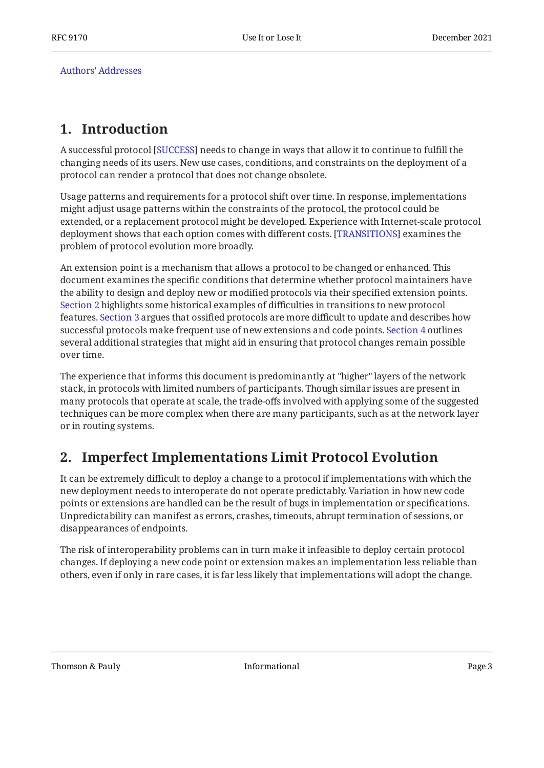[Authors' Addresses](#page-16-1)

### <span id="page-2-0"></span>**[1. Introduction](#page-2-0)**

A successful protocol [SUCCESS] needs to change in ways that allow it to continue to fulfill the changing needs of its users. New use cases, conditions, and constraints on the deployment of a protocol can render a protocol that does not change obsolete.

Usage patterns and requirements for a protocol shift over time. In response, implementations might adjust usage patterns within the constraints of the protocol, the protocol could be extended, or a replacement protocol might be developed. Experience with Internet-scale protocol deployment shows that each option comes with different costs. [TRANSITIONS] examines the problem of protocol evolution more broadly.

An extension point is a mechanism that allows a protocol to be changed or enhanced. This document examines the specific conditions that determine whether protocol maintainers have the ability to design and deploy new or modified protocols via their specified extension points. [Section 2](#page-2-1) highlights some historical examples of difficulties in transitions to new protocol features. [Section 3](#page-4-2) argues that ossified protocols are more difficult to update and describes how successful protocols make frequent use of new extensions and code points. [Section 4](#page-8-0) outlines several additional strategies that might aid in ensuring that protocol changes remain possible over time.

The experience that informs this document is predominantly at "higher" layers of the network stack, in protocols with limited numbers of participants. Though similar issues are present in many protocols that operate at scale, the trade-offs involved with applying some of the suggested techniques can be more complex when there are many participants, such as at the network layer or in routing systems.

### <span id="page-2-1"></span>**[2. Imperfect Implementations Limit Protocol Evolution](#page-2-1)**

It can be extremely difficult to deploy a change to a protocol if implementations with which the new deployment needs to interoperate do not operate predictably. Variation in how new code points or extensions are handled can be the result of bugs in implementation or specifications. Unpredictability can manifest as errors, crashes, timeouts, abrupt termination of sessions, or disappearances of endpoints.

The risk of interoperability problems can in turn make it infeasible to deploy certain protocol changes. If deploying a new code point or extension makes an implementation less reliable than others, even if only in rare cases, it is far less likely that implementations will adopt the change.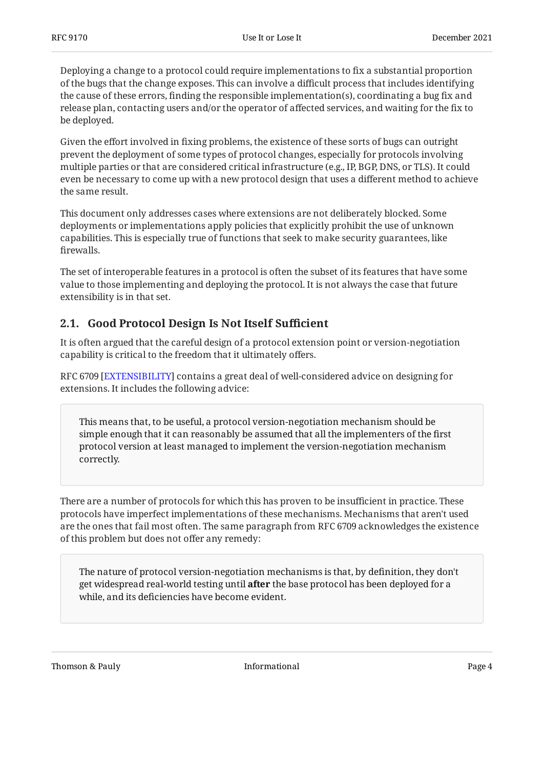Deploying a change to a protocol could require implementations to fix a substantial proportion of the bugs that the change exposes. This can involve a difficult process that includes identifying the cause of these errors, finding the responsible implementation(s), coordinating a bug fix and release plan, contacting users and/or the operator of affected services, and waiting for the fix to be deployed.

Given the effort involved in fixing problems, the existence of these sorts of bugs can outright prevent the deployment of some types of protocol changes, especially for protocols involving multiple parties or that are considered critical infrastructure (e.g., IP, BGP, DNS, or TLS). It could even be necessary to come up with a new protocol design that uses a different method to achieve the same result.

This document only addresses cases where extensions are not deliberately blocked. Some deployments or implementations apply policies that explicitly prohibit the use of unknown capabilities. This is especially true of functions that seek to make security guarantees, like firewalls.

The set of interoperable features in a protocol is often the subset of its features that have some value to those implementing and deploying the protocol. It is not always the case that future extensibility is in that set.

#### <span id="page-3-0"></span>**[2.1. Good Protocol Design Is Not Itself Su](#page-3-0)fficient**

It is often argued that the careful design of a protocol extension point or version-negotiation capability is critical to the freedom that it ultimately offers.

RFC 6709 [EXTENSIBILITY] contains a great deal of well-considered advice on designing for extensions. It includes the following advice:

This means that, to be useful, a protocol version-negotiation mechanism should be simple enough that it can reasonably be assumed that all the implementers of the first protocol version at least managed to implement the version-negotiation mechanism correctly.

There are a number of protocols for which this has proven to be insufficient in practice. These protocols have imperfect implementations of these mechanisms. Mechanisms that aren't used are the ones that fail most often. The same paragraph from RFC 6709 acknowledges the existence of this problem but does not offer any remedy:

The nature of protocol version-negotiation mechanisms is that, by definition, they don't get widespread real-world testing until **after** the base protocol has been deployed for a while, and its deficiencies have become evident.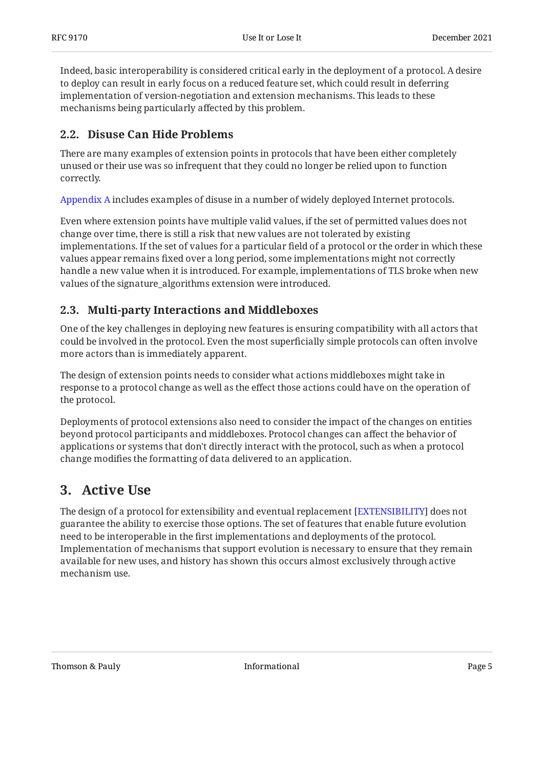Indeed, basic interoperability is considered critical early in the deployment of a protocol. A desire to deploy can result in early focus on a reduced feature set, which could result in deferring implementation of version-negotiation and extension mechanisms. This leads to these mechanisms being particularly affected by this problem.

#### <span id="page-4-0"></span>**[2.2. Disuse Can Hide Problems](#page-4-0)**

There are many examples of extension points in protocols that have been either completely unused or their use was so infrequent that they could no longer be relied upon to function correctly.

[Appendix A](#page-13-0) includes examples of disuse in a number of widely deployed Internet protocols.

Even where extension points have multiple valid values, if the set of permitted values does not change over time, there is still a risk that new values are not tolerated by existing implementations. If the set of values for a particular field of a protocol or the order in which these values appear remains fixed over a long period, some implementations might not correctly handle a new value when it is introduced. For example, implementations of TLS broke when new values of the signature\_algorithms extension were introduced.

#### <span id="page-4-1"></span>**[2.3. Multi-party Interactions and Middleboxes](#page-4-1)**

One of the key challenges in deploying new features is ensuring compatibility with all actors that could be involved in the protocol. Even the most superficially simple protocols can often involve more actors than is immediately apparent.

The design of extension points needs to consider what actions middleboxes might take in response to a protocol change as well as the effect those actions could have on the operation of the protocol.

Deployments of protocol extensions also need to consider the impact of the changes on entities beyond protocol participants and middleboxes. Protocol changes can affect the behavior of applications or systems that don't directly interact with the protocol, such as when a protocol change modifies the formatting of data delivered to an application.

### <span id="page-4-2"></span>**[3. Active Use](#page-4-2)**

The design of a protocol for extensibility and eventual replacement [EXTENSIBILITY] does not guarantee the ability to exercise those options. The set of features that enable future evolution need to be interoperable in the first implementations and deployments of the protocol. Implementation of mechanisms that support evolution is necessary to ensure that they remain available for new uses, and history has shown this occurs almost exclusively through active mechanism use.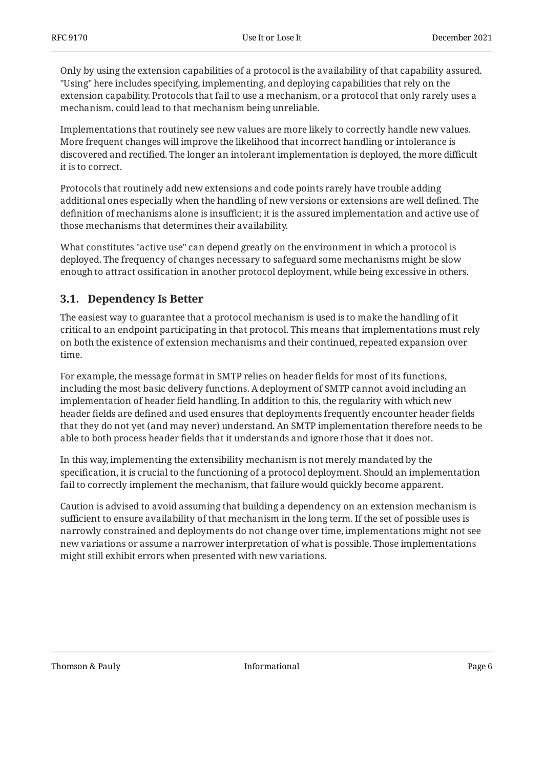Only by using the extension capabilities of a protocol is the availability of that capability assured. "Using" here includes specifying, implementing, and deploying capabilities that rely on the extension capability. Protocols that fail to use a mechanism, or a protocol that only rarely uses a mechanism, could lead to that mechanism being unreliable.

Implementations that routinely see new values are more likely to correctly handle new values. More frequent changes will improve the likelihood that incorrect handling or intolerance is discovered and rectified. The longer an intolerant implementation is deployed, the more difficult it is to correct.

Protocols that routinely add new extensions and code points rarely have trouble adding additional ones especially when the handling of new versions or extensions are well defined. The definition of mechanisms alone is insufficient; it is the assured implementation and active use of those mechanisms that determines their availability.

What constitutes "active use" can depend greatly on the environment in which a protocol is deployed. The frequency of changes necessary to safeguard some mechanisms might be slow enough to attract ossification in another protocol deployment, while being excessive in others.

#### <span id="page-5-0"></span>**[3.1. Dependency Is Better](#page-5-0)**

The easiest way to guarantee that a protocol mechanism is used is to make the handling of it critical to an endpoint participating in that protocol. This means that implementations must rely on both the existence of extension mechanisms and their continued, repeated expansion over time.

For example, the message format in SMTP relies on header fields for most of its functions, including the most basic delivery functions. A deployment of SMTP cannot avoid including an implementation of header field handling. In addition to this, the regularity with which new header fields are defined and used ensures that deployments frequently encounter header fields that they do not yet (and may never) understand. An SMTP implementation therefore needs to be able to both process header fields that it understands and ignore those that it does not.

In this way, implementing the extensibility mechanism is not merely mandated by the specification, it is crucial to the functioning of a protocol deployment. Should an implementation fail to correctly implement the mechanism, that failure would quickly become apparent.

Caution is advised to avoid assuming that building a dependency on an extension mechanism is sufficient to ensure availability of that mechanism in the long term. If the set of possible uses is narrowly constrained and deployments do not change over time, implementations might not see new variations or assume a narrower interpretation of what is possible. Those implementations might still exhibit errors when presented with new variations.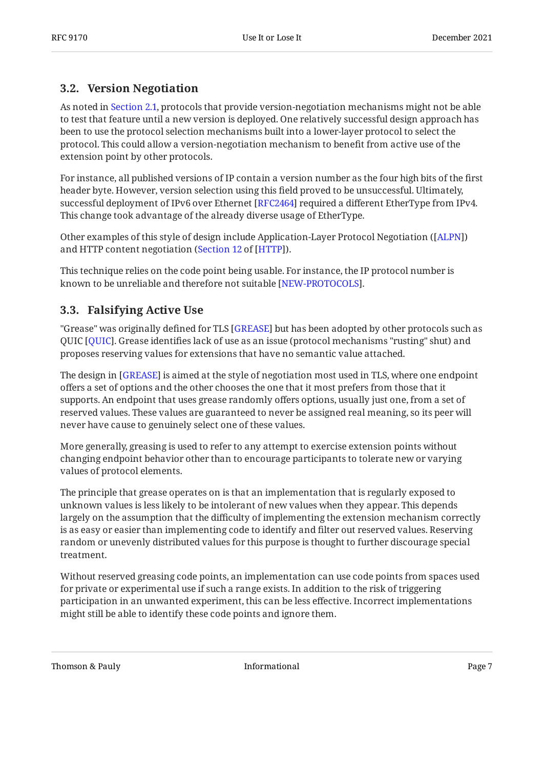#### <span id="page-6-0"></span>**[3.2. Version Negotiation](#page-6-0)**

As noted in [Section 2.1](#page-3-0), protocols that provide version-negotiation mechanisms might not be able to test that feature until a new version is deployed. One relatively successful design approach has been to use the protocol selection mechanisms built into a lower-layer protocol to select the protocol. This could allow a version-negotiation mechanism to benefit from active use of the extension point by other protocols.

For instance, all published versions of IP contain a version number as the four high bits of the first header byte. However, version selection using this field proved to be unsuccessful. Ultimately, successful deployment of IPv6 over Ethernet [RFC2464] required a different EtherType from IPv4. This change took advantage of the already diverse usage of EtherType.

Other examples of this style of design include Application-Layer Protocol Negotiation ([ALPN]) and HTTP content negotiation (Section 12 of [HTTP]).

This technique relies on the code point being usable. For instance, the IP protocol number is known to be unreliable and therefore not suitable [NEW-PROTOCOLS].

#### <span id="page-6-1"></span>**[3.3. Falsifying Active Use](#page-6-1)**

"Grease" was originally defined for TLS [\[GREASE](#page-11-3)] but has been adopted by other protocols such as QUIC [[QUIC\]](#page-12-1). Grease identifies lack of use as an issue (protocol mechanisms "rusting" shut) and proposes reserving values for extensions that have no semantic value attached.

The design in [\[GREASE](#page-11-3)] is aimed at the style of negotiation most used in TLS, where one endpoint offers a set of options and the other chooses the one that it most prefers from those that it supports. An endpoint that uses grease randomly offers options, usually just one, from a set of reserved values. These values are guaranteed to never be assigned real meaning, so its peer will never have cause to genuinely select one of these values.

More generally, greasing is used to refer to any attempt to exercise extension points without changing endpoint behavior other than to encourage participants to tolerate new or varying values of protocol elements.

The principle that grease operates on is that an implementation that is regularly exposed to unknown values is less likely to be intolerant of new values when they appear. This depends largely on the assumption that the difficulty of implementing the extension mechanism correctly is as easy or easier than implementing code to identify and filter out reserved values. Reserving random or unevenly distributed values for this purpose is thought to further discourage special treatment.

Without reserved greasing code points, an implementation can use code points from spaces used for private or experimental use if such a range exists. In addition to the risk of triggering participation in an unwanted experiment, this can be less effective. Incorrect implementations might still be able to identify these code points and ignore them.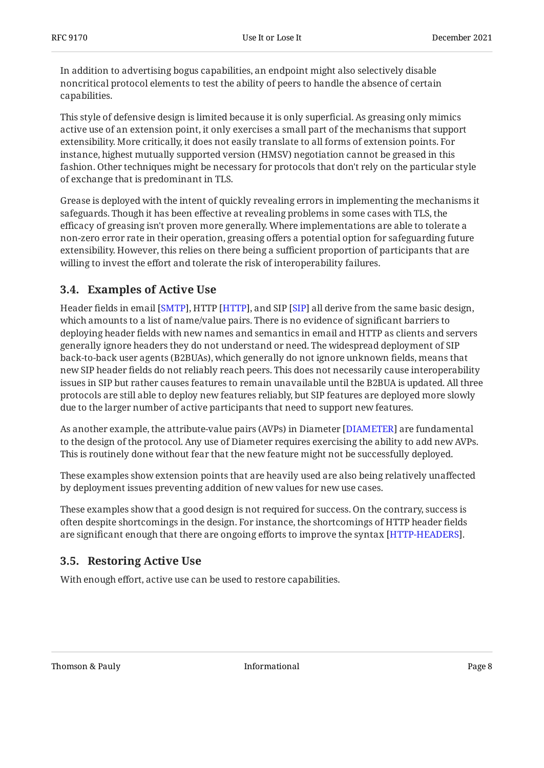In addition to advertising bogus capabilities, an endpoint might also selectively disable noncritical protocol elements to test the ability of peers to handle the absence of certain capabilities.

This style of defensive design is limited because it is only superficial. As greasing only mimics active use of an extension point, it only exercises a small part of the mechanisms that support extensibility. More critically, it does not easily translate to all forms of extension points. For instance, highest mutually supported version (HMSV) negotiation cannot be greased in this fashion. Other techniques might be necessary for protocols that don't rely on the particular style of exchange that is predominant in TLS.

Grease is deployed with the intent of quickly revealing errors in implementing the mechanisms it safeguards. Though it has been effective at revealing problems in some cases with TLS, the efficacy of greasing isn't proven more generally. Where implementations are able to tolerate a non-zero error rate in their operation, greasing offers a potential option for safeguarding future extensibility. However, this relies on there being a sufficient proportion of participants that are willing to invest the effort and tolerate the risk of interoperability failures.

#### <span id="page-7-0"></span>**[3.4. Examples of Active Use](#page-7-0)**

Header fields in email [\[SMTP](#page-12-2)], HTTP [[HTTP\]](#page-11-1), and SIP [\[SIP](#page-12-3)] all derive from the same basic design, which amounts to a list of name/value pairs. There is no evidence of significant barriers to deploying header fields with new names and semantics in email and HTTP as clients and servers generally ignore headers they do not understand or need. The widespread deployment of SIP back-to-back user agents (B2BUAs), which generally do not ignore unknown fields, means that new SIP header fields do not reliably reach peers. This does not necessarily cause interoperability issues in SIP but rather causes features to remain unavailable until the B2BUA is updated. All three protocols are still able to deploy new features reliably, but SIP features are deployed more slowly due to the larger number of active participants that need to support new features.

As another example, the attribute-value pairs (AVPs) in Diameter [DIAMETER] are fundamental to the design of the protocol. Any use of Diameter requires exercising the ability to add new AVPs. This is routinely done without fear that the new feature might not be successfully deployed.

These examples show extension points that are heavily used are also being relatively unaffected by deployment issues preventing addition of new values for new use cases.

These examples show that a good design is not required for success. On the contrary, success is often despite shortcomings in the design. For instance, the shortcomings of HTTP header fields are significant enough that there are ongoing efforts to improve the syntax [HTTP-HEADERS].

#### <span id="page-7-1"></span>**[3.5. Restoring Active Use](#page-7-1)**

With enough effort, active use can be used to restore capabilities.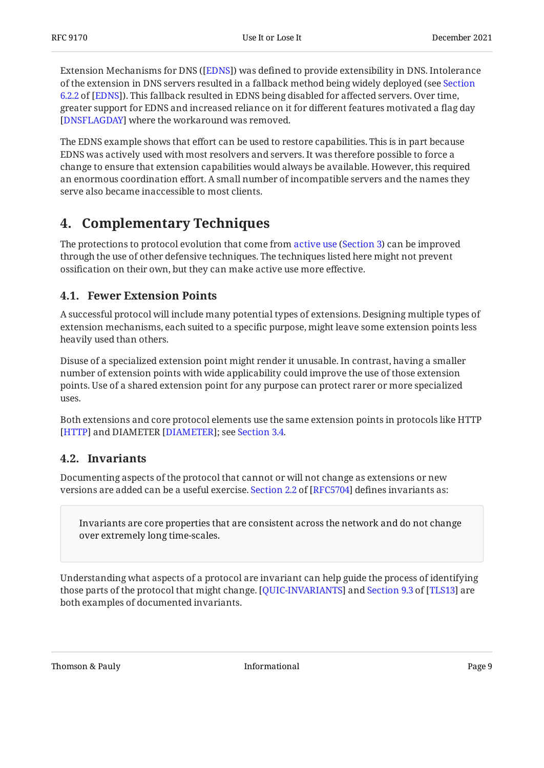Extension Mechanisms for DNS ([EDNS]) was defined to provide extensibility in DNS. Intolerance of the extension in DNS servers resulted in a fallback method being widely deployed (see [Section](https://www.rfc-editor.org/rfc/rfc6891#section-6.2.2) [6.2.2](https://www.rfc-editor.org/rfc/rfc6891#section-6.2.2) of [\[EDNS](#page-11-5)]). This fallback resulted in EDNS being disabled for affected servers. Over time, greater support for EDNS and increased reliance on it for different features motivated a flag day [[DNSFLAGDAY\]](#page-10-5) where the workaround was removed.

The EDNS example shows that effort can be used to restore capabilities. This is in part because EDNS was actively used with most resolvers and servers. It was therefore possible to force a change to ensure that extension capabilities would always be available. However, this required an enormous coordination effort. A small number of incompatible servers and the names they serve also became inaccessible to most clients.

# <span id="page-8-0"></span>**[4. Complementary Techniques](#page-8-0)**

Theprotections to protocol evolution that come from active use (Section 3) can be improved through the use of other defensive techniques. The techniques listed here might not prevent ossification on their own, but they can make active use more effective.

#### <span id="page-8-1"></span>**[4.1. Fewer Extension Points](#page-8-1)**

A successful protocol will include many potential types of extensions. Designing multiple types of extension mechanisms, each suited to a specific purpose, might leave some extension points less heavily used than others.

Disuse of a specialized extension point might render it unusable. In contrast, having a smaller number of extension points with wide applicability could improve the use of those extension points. Use of a shared extension point for any purpose can protect rarer or more specialized uses.

Both extensions and core protocol elements use the same extension points in protocols like HTTP [[HTTP\]](#page-11-1) and DIAMETER [\[](#page-10-4)[DIAMETER](#page-10-4)]; see [Section 3.4](#page-7-0).

#### <span id="page-8-2"></span>**[4.2. Invariants](#page-8-2)**

Documenting aspects of the protocol that cannot or will not change as extensions or new versionsare added can be a useful exercise. Section 2.2 of [RFC5704] defines invariants as:

Invariants are core properties that are consistent across the network and do not change over extremely long time-scales.

Understanding what aspects of a protocol are invariant can help guide the process of identifying thoseparts of the protocol that might change. [QUIC-INVARIANTS] and Section 9.3 of [TLS13] are both examples of documented invariants.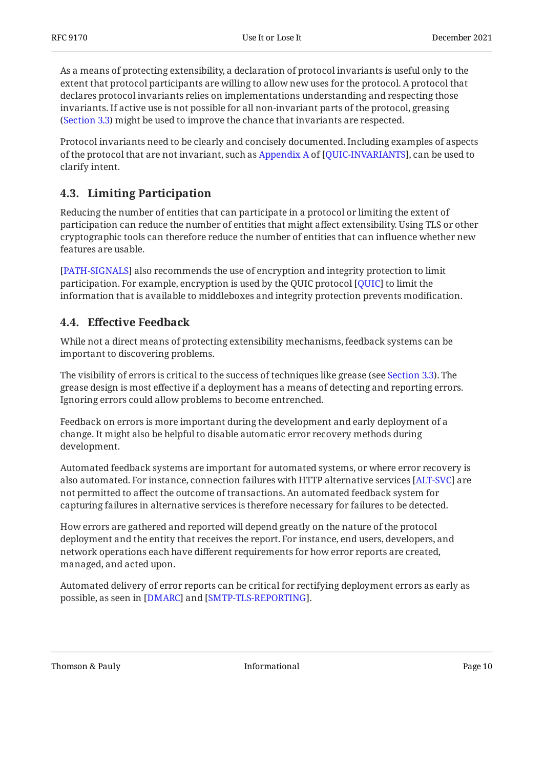As a means of protecting extensibility, a declaration of protocol invariants is useful only to the extent that protocol participants are willing to allow new uses for the protocol. A protocol that declares protocol invariants relies on implementations understanding and respecting those invariants. If active use is not possible for all non-invariant parts of the protocol, greasing ([Section 3.3\)](#page-6-1) might be used to improve the chance that invariants are respected.

Protocol invariants need to be clearly and concisely documented. Including examples of aspects ofthe protocol that are not invariant, such as Appendix A of [QUIC-INVARIANTS], can be used to clarify intent.

#### <span id="page-9-0"></span>**[4.3. Limiting Participation](#page-9-0)**

Reducing the number of entities that can participate in a protocol or limiting the extent of participation can reduce the number of entities that might affect extensibility. Using TLS or other cryptographic tools can therefore reduce the number of entities that can influence whether new features are usable.

[[PATH-SIGNALS\]](#page-12-6) also recommends the use of encryption and integrity protection to limit participation. For example, encryption is used by the QUIC protocol [QUIC] to limit the information that is available to middleboxes and integrity protection prevents modification.

#### <span id="page-9-1"></span>**[4.4. E](#page-9-1)ff[ective Feedback](#page-9-1)**

While not a direct means of protecting extensibility mechanisms, feedback systems can be important to discovering problems.

The visibility of errors is critical to the success of techniques like grease (see [Section 3.3](#page-6-1)). The grease design is most effective if a deployment has a means of detecting and reporting errors. Ignoring errors could allow problems to become entrenched.

Feedback on errors is more important during the development and early deployment of a change. It might also be helpful to disable automatic error recovery methods during development.

Automated feedback systems are important for automated systems, or where error recovery is also automated. For instance, connection failures with HTTP alternative services [ALT-SVC] are not permitted to affect the outcome of transactions. An automated feedback system for capturing failures in alternative services is therefore necessary for failures to be detected.

How errors are gathered and reported will depend greatly on the nature of the protocol deployment and the entity that receives the report. For instance, end users, developers, and network operations each have different requirements for how error reports are created, managed, and acted upon.

Automated delivery of error reports can be critical for rectifying deployment errors as early as possible, as seen in [\[DMARC](#page-10-7)] and [[SMTP-TLS-REPORTING](#page-12-7)].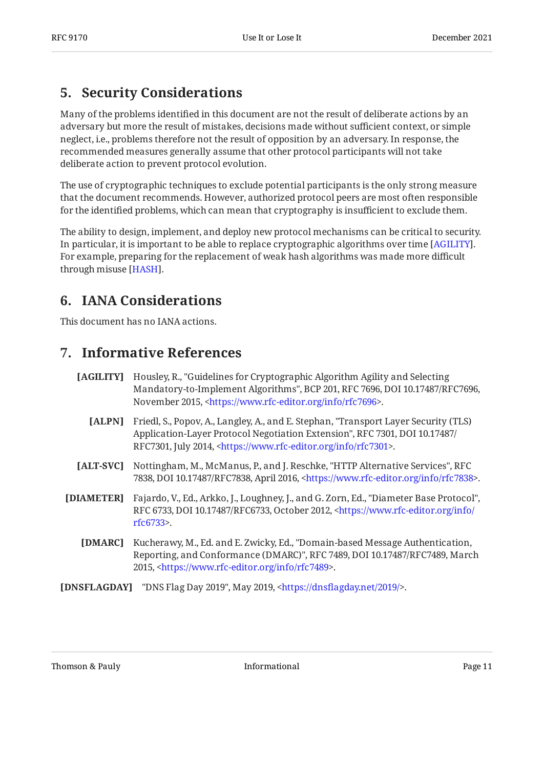### <span id="page-10-0"></span>**[5. Security Considerations](#page-10-0)**

Many of the problems identified in this document are not the result of deliberate actions by an adversary but more the result of mistakes, decisions made without sufficient context, or simple neglect, i.e., problems therefore not the result of opposition by an adversary. In response, the recommended measures generally assume that other protocol participants will not take deliberate action to prevent protocol evolution.

The use of cryptographic techniques to exclude potential participants is the only strong measure that the document recommends. However, authorized protocol peers are most often responsible for the identified problems, which can mean that cryptography is insufficient to exclude them.

The ability to design, implement, and deploy new protocol mechanisms can be critical to security. In particular, it is important to be able to replace cryptographic algorithms over time [AGILITY]. For example, preparing for the replacement of weak hash algorithms was made more difficult through misuse [HASH].

### <span id="page-10-1"></span>**[6. IANA Considerations](#page-10-1)**

<span id="page-10-2"></span>This document has no IANA actions.

### **[7. Informative References](#page-10-2)**

- <span id="page-10-8"></span><span id="page-10-3"></span>**[AGILITY]** , Housley, R. "Guidelines for Cryptographic Algorithm Agility and Selecting Mandatory-to-Implement Algorithms", BCP 201, RFC 7696, DOI 10.17487/RFC7696, November 2015, <https://www.rfc-editor.org/info/rfc7696>.
	- [ALPN] Friedl, S., Popov, A., Langley, A., and E. Stephan, "Transport Layer Security (TLS) Application-Layer Protocol Negotiation Extension", RFC 7301, DOI 10.17487/ RFC7301, July 2014, <https://www.rfc-editor.org/info/rfc7301>.
- <span id="page-10-6"></span>[ALT-SVC] Nottingham, M., McManus, P., and J. Reschke, "HTTP Alternative Services", RFC 7838, DOI 10.17487/RFC7838, April 2016, <https://www.rfc-editor.org/info/rfc7838>.
- <span id="page-10-7"></span><span id="page-10-4"></span>**[DIAMETER]** Fajardo, V., Ed., Arkko, J., Loughney, J., and G. Zorn, Ed., "Diameter Base Protocol", RFC 6733, DOI 10.17487/RFC6733, October 2012, [<https://www.rfc-editor.org/info/](https://www.rfc-editor.org/info/rfc6733) . [rfc6733](https://www.rfc-editor.org/info/rfc6733)>
	- **[DMARC]** Kucherawy, M., Ed. and E. Zwicky, Ed., "Domain-based Message Authentication, Reporting, and Conformance (DMARC)", RFC 7489, DOI 10.17487/RFC7489, March 2015, <https://www.rfc-editor.org/info/rfc7489>.
- <span id="page-10-5"></span>**[DNSFLAGDAY]** "DNS Flag Day 2019", May 2019, <https://dnsflagday.net/2019/>.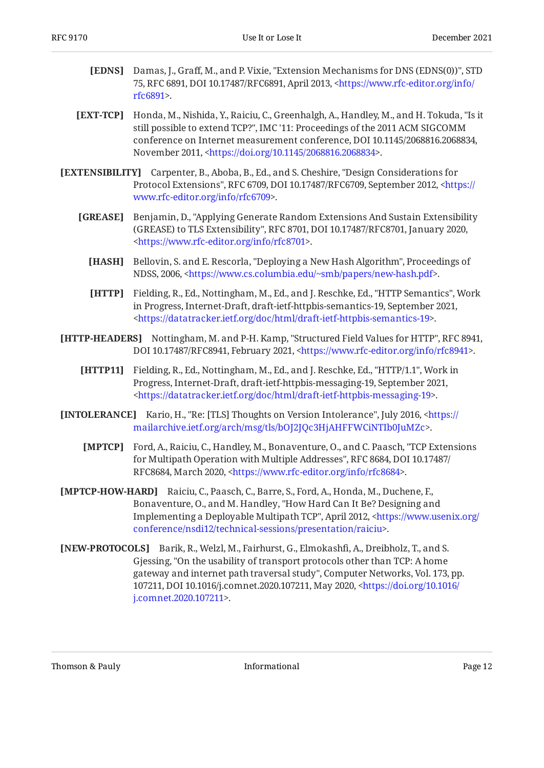- <span id="page-11-5"></span>**[EDNS]** Damas, J., Graff, M., and P. Vixie, "Extension Mechanisms for DNS (EDNS(0))", STD 75, RFC 6891, DOI 10.17487/RFC6891, April 2013, [<https://www.rfc-editor.org/info/](https://www.rfc-editor.org/info/rfc6891) . [rfc6891](https://www.rfc-editor.org/info/rfc6891)>
- <span id="page-11-8"></span>**[EXT-TCP]** Honda, M., Nishida, Y., Raiciu, C., Greenhalgh, A., Handley, M., and H. Tokuda, "Is it , still possible to extend TCP?" IMC '11: Proceedings of the 2011 ACM SIGCOMM conference on Internet measurement conference, DOI 10.1145/2068816.2068834, November 2011, <https://doi.org/10.1145/2068816.2068834>.
- <span id="page-11-3"></span><span id="page-11-0"></span>**[EXTENSIBILITY]** Carpenter, B., Aboba, B., Ed., and S. Cheshire, "Design Considerations for Protocol Extensions", RFC 6709, DOI 10.17487/RFC6709, September 2012, [<https://](https://www.rfc-editor.org/info/rfc6709) . [www.rfc-editor.org/info/rfc6709>](https://www.rfc-editor.org/info/rfc6709)
	- **[GREASE]** , Benjamin, D. "Applying Generate Random Extensions And Sustain Extensibility (GREASE) to TLS Extensibility", RFC 8701, DOI 10.17487/RFC8701, January 2020, . [<https://www.rfc-editor.org/info/rfc8701](https://www.rfc-editor.org/info/rfc8701)>
		- **[HASH]** Bellovin, S. and E. Rescorla, "Deploying a New Hash Algorithm", Proceedings of NDSS, 2006, <https://www.cs.columbia.edu/~smb/papers/new-hash.pdf>.
		- **[HTTP]** Fielding, R., Ed., Nottingham, M., Ed., and J. Reschke, Ed., "HTTP Semantics", Work in Progress, Internet-Draft, draft-ietf-httpbis-semantics-19, September 2021, . [<https://datatracker.ietf.org/doc/html/draft-ietf-httpbis-semantics-19>](https://datatracker.ietf.org/doc/html/draft-ietf-httpbis-semantics-19)
- <span id="page-11-7"></span><span id="page-11-6"></span><span id="page-11-4"></span><span id="page-11-1"></span>**[HTTP-HEADERS]** Nottingham, M. and P-H. Kamp, "Structured Field Values for HTTP", RFC 8941, DOI 10.17487/RFC8941, February 2021, <https://www.rfc-editor.org/info/rfc8941>.
	- **[HTTP11]** Fielding, R., Ed., Nottingham, M., Ed., and J. Reschke, Ed., "HTTP/1.1", Work in Progress, Internet-Draft, draft-ietf-httpbis-messaging-19, September 2021, . [<https://datatracker.ietf.org/doc/html/draft-ietf-httpbis-messaging-19](https://datatracker.ietf.org/doc/html/draft-ietf-httpbis-messaging-19)>
- <span id="page-11-11"></span><span id="page-11-9"></span>**[INTOLERANCE]** Kario, H., "Re: [TLS] Thoughts on Version Intolerance", July 2016, [<https://](https://mailarchive.ietf.org/arch/msg/tls/bOJ2JQc3HjAHFFWCiNTIb0JuMZc) . [mailarchive.ietf.org/arch/msg/tls/bOJ2JQc3HjAHFFWCiNTIb0JuMZc>](https://mailarchive.ietf.org/arch/msg/tls/bOJ2JQc3HjAHFFWCiNTIb0JuMZc)
	- **[MPTCP]** Ford, A., Raiciu, C., Handley, M., Bonaventure, O., and C. Paasch, "TCP Extensions for Multipath Operation with Multiple Addresses", RFC 8684, DOI 10.17487/ RFC8684, March 2020, <https://www.rfc-editor.org/info/rfc8684>.
- <span id="page-11-10"></span>**[MPTCP-HOW-HARD]** Raiciu, C., Paasch, C., Barre, S., Ford, A., Honda, M., Duchene, F., Bonaventure, O., and M. Handley, "How Hard Can It Be? Designing and Implementing a Deployable Multipath TCP", April 2012, [<https://www.usenix.org/](https://www.usenix.org/conference/nsdi12/technical-sessions/presentation/raiciu) . [conference/nsdi12/technical-sessions/presentation/raiciu](https://www.usenix.org/conference/nsdi12/technical-sessions/presentation/raiciu)>
- <span id="page-11-2"></span>**[NEW-PROTOCOLS]** Barik, R., Welzl, M., Fairhurst, G., Elmokashfi, A., Dreibholz, T., and S. Gjessing, "On the usability of transport protocols other than TCP: A home gateway and internet path traversal study", Computer Networks, Vol. 173, pp. 107211, DOI 10.1016/j.comnet.2020.107211, May 2020, [<https://doi.org/10.1016/](https://doi.org/10.1016/j.comnet.2020.107211) . [j.comnet.2020.107211>](https://doi.org/10.1016/j.comnet.2020.107211)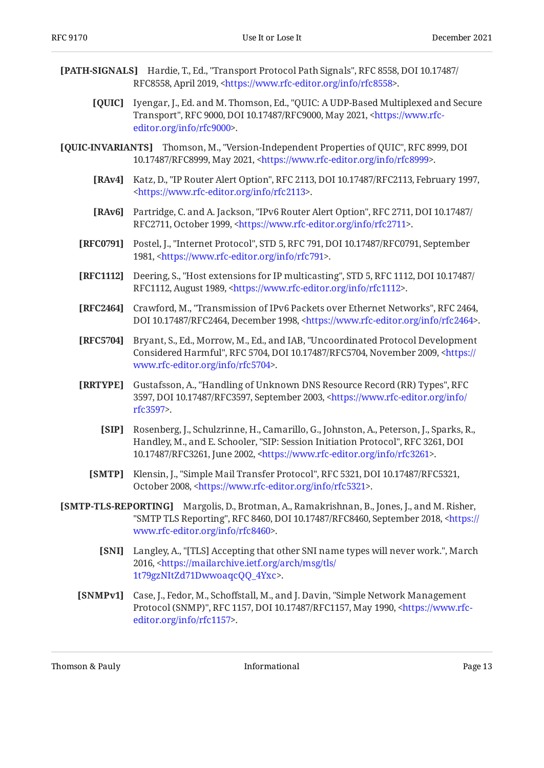- <span id="page-12-12"></span><span id="page-12-11"></span><span id="page-12-10"></span><span id="page-12-9"></span><span id="page-12-8"></span><span id="page-12-6"></span><span id="page-12-5"></span><span id="page-12-4"></span><span id="page-12-1"></span><span id="page-12-0"></span>**[PATH-SIGNALS]** Hardie, T., Ed., "Transport Protocol Path Signals", RFC 8558, DOI 10.17487/ **[QUIC]** Iyengar, J., Ed. and M. Thomson, Ed., "QUIC: A UDP-Based Multiplexed and Secure **[QUIC-INVARIANTS]** Thomson, M., "Version-Independent Properties of QUIC", RFC 8999, DOI **[RAv4]** Katz, D., "IP Router Alert Option", RFC 2113, DOI 10.17487/RFC2113, February 1997, **[RAv6]** Partridge, C. and A. Jackson, "IPv6 Router Alert Option", RFC 2711, DOI 10.17487/ **[RFC0791]** Postel, J., "Internet Protocol", STD 5, RFC 791, DOI 10.17487/RFC0791, September **[RFC1112]** Deering, S., "Host extensions for IP multicasting", STD 5, RFC 1112, DOI 10.17487/ **[RFC2464]** Crawford, M., "Transmission of IPv6 Packets over Ethernet Networks", RFC 2464, **[RFC5704]** Bryant, S., Ed., Morrow, M., Ed., and IAB, "Uncoordinated Protocol Development **[RRTYPE]** Gustafsson, A., "Handling of Unknown DNS Resource Record (RR) Types", RFC **[SIP]** Rosenberg, J., Schulzrinne, H., Camarillo, G., Johnston, A., Peterson, J., Sparks, R., **[SMTP]** Klensin, J., "Simple Mail Transfer Protocol", RFC 5321, DOI 10.17487/RFC5321, **[SMTP-TLS-REPORTING]** Margolis, D., Brotman, A., Ramakrishnan, B., Jones, J., and M. Risher, **[SNI]** Langley, A., "[TLS] Accepting that other SNI name types will never work.", March RFC8558, April 2019, [<https://www.rfc-editor.org/info/rfc8558](https://www.rfc-editor.org/info/rfc8558)>. Transport", RFC 9000, DOI 10.17487/RFC9000, May 2021, [<https://www.rfc-](https://www.rfc-editor.org/info/rfc9000). [editor.org/info/rfc9000](https://www.rfc-editor.org/info/rfc9000)> 10.17487/RFC8999, May 2021, <https://www.rfc-editor.org/info/rfc8999>. . [<https://www.rfc-editor.org/info/rfc2113](https://www.rfc-editor.org/info/rfc2113)> RFC2711, October 1999, <https://www.rfc-editor.org/info/rfc2711>. 1981, <https://www.rfc-editor.org/info/rfc791>. RFC1112, August 1989, <https://www.rfc-editor.org/info/rfc1112>. DOI 10.17487/RFC2464, December 1998, <https://www.rfc-editor.org/info/rfc2464>. Considered Harmful", RFC 5704, DOI 10.17487/RFC5704, November 2009, [<https://](https://www.rfc-editor.org/info/rfc5704) . [www.rfc-editor.org/info/rfc5704>](https://www.rfc-editor.org/info/rfc5704) 3597, DOI 10.17487/RFC3597, September 2003, [<https://www.rfc-editor.org/info/](https://www.rfc-editor.org/info/rfc3597) . [rfc3597](https://www.rfc-editor.org/info/rfc3597)> Handley, M., and E. Schooler, "SIP: Session Initiation Protocol", RFC 3261, DOI 10.17487/RFC3261, June 2002, [<https://www.rfc-editor.org/info/rfc3261>](https://www.rfc-editor.org/info/rfc3261). October 2008, [<https://www.rfc-editor.org/info/rfc5321](https://www.rfc-editor.org/info/rfc5321)>. "SMTP TLS Reporting", RFC 8460, DOI 10.17487/RFC8460, September 2018, <[https://](https://www.rfc-editor.org/info/rfc8460) . [www.rfc-editor.org/info/rfc8460>](https://www.rfc-editor.org/info/rfc8460) 2016, <[https://mailarchive.ietf.org/arch/msg/tls/](https://mailarchive.ietf.org/arch/msg/tls/1t79gzNItZd71DwwoaqcQQ_4Yxc) . [1t79gzNItZd71DwwoaqcQQ\\_4Yxc>](https://mailarchive.ietf.org/arch/msg/tls/1t79gzNItZd71DwwoaqcQQ_4Yxc)
	- **[SNMPv1]** Case, J., Fedor, M., Schoffstall, M., and J. Davin, "Simple Network Management Protocol (SNMP)", RFC 1157, DOI 10.17487/RFC1157, May 1990, <[https://www.rfc-](https://www.rfc-editor.org/info/rfc1157). [editor.org/info/rfc1157](https://www.rfc-editor.org/info/rfc1157)>

<span id="page-12-14"></span><span id="page-12-13"></span><span id="page-12-7"></span><span id="page-12-3"></span><span id="page-12-2"></span>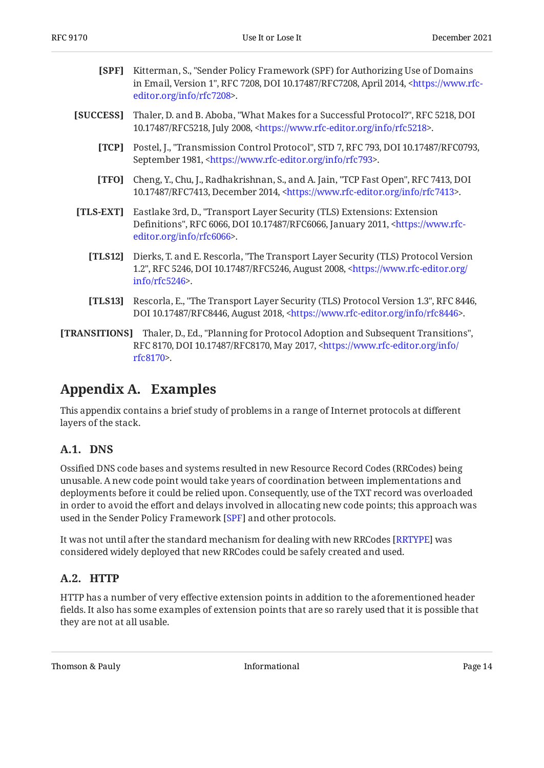<span id="page-13-6"></span>

| <b>[SPF]</b> Kitterman, S., "Sender Policy Framework (SPF) for Authorizing Use of Domains              |
|--------------------------------------------------------------------------------------------------------|
| in Email, Version 1", RFC 7208, DOI 10.17487/RFC7208, April 2014, <https: th="" www.rfc-<=""></https:> |
| editor.org/info/rfc7208>.                                                                              |

- <span id="page-13-7"></span><span id="page-13-3"></span>**[SUCCESS]** Thaler, D. and B. Aboba, "What Makes for a Successful Protocol?", RFC 5218, DOI 10.17487/RFC5218, July 2008, <https://www.rfc-editor.org/info/rfc5218>.
	- **[TCP]** Postel, J., "Transmission Control Protocol", STD 7, RFC 793, DOI 10.17487/RFC0793, September 1981, <https://www.rfc-editor.org/info/rfc793>.
	- **[TFO]** Cheng, Y., Chu, J., Radhakrishnan, S., and A. Jain, "TCP Fast Open", RFC 7413, DOI 10.17487/RFC7413, December 2014, <https://www.rfc-editor.org/info/rfc7413>.
- <span id="page-13-10"></span><span id="page-13-9"></span><span id="page-13-8"></span>**[TLS-EXT]** , Eastlake 3rd, D. "Transport Layer Security (TLS) Extensions: Extension Definitions", RFC 6066, DOI 10.17487/RFC6066, January 2011, [<https://www.rfc-](https://www.rfc-editor.org/info/rfc6066). [editor.org/info/rfc6066](https://www.rfc-editor.org/info/rfc6066)>
	- **[TLS12]** Dierks, T. and E. Rescorla, "The Transport Layer Security (TLS) Protocol Version 1.2", RFC 5246, DOI 10.17487/RFC5246, August 2008, [<https://www.rfc-editor.org/](https://www.rfc-editor.org/info/rfc5246) . [info/rfc5246>](https://www.rfc-editor.org/info/rfc5246)
	- **[TLS13]** Rescorla, E., "The Transport Layer Security (TLS) Protocol Version 1.3", RFC 8446, DOI 10.17487/RFC8446, August 2018, <https://www.rfc-editor.org/info/rfc8446>.
- <span id="page-13-5"></span><span id="page-13-4"></span>**[TRANSITIONS]** Thaler, D., Ed., "Planning for Protocol Adoption and Subsequent Transitions", RFC 8170, DOI 10.17487/RFC8170, May 2017, <[https://www.rfc-editor.org/info/](https://www.rfc-editor.org/info/rfc8170) . [rfc8170](https://www.rfc-editor.org/info/rfc8170)>

### <span id="page-13-0"></span>**[Appendix A. Examples](#page-13-0)**

This appendix contains a brief study of problems in a range of Internet protocols at different layers of the stack.

#### <span id="page-13-1"></span>**[A.1. DNS](#page-13-1)**

Ossified DNS code bases and systems resulted in new Resource Record Codes (RRCodes) being unusable. A new code point would take years of coordination between implementations and deployments before it could be relied upon. Consequently, use of the TXT record was overloaded in order to avoid the effort and delays involved in allocating new code points; this approach was used in the Sender Policy Framework [\[SPF](#page-13-6)] and other protocols.

It was not until after the standard mechanism for dealing with new RRCodes [RRTYPE] was considered widely deployed that new RRCodes could be safely created and used.

#### <span id="page-13-2"></span>**[A.2. HTTP](#page-13-2)**

HTTP has a number of very effective extension points in addition to the aforementioned header fields. It also has some examples of extension points that are so rarely used that it is possible that they are not at all usable.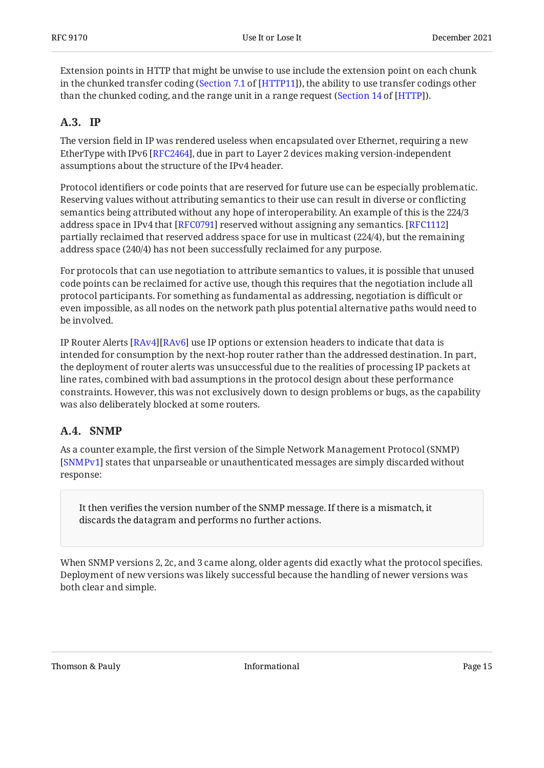Extension points in HTTP that might be unwise to use include the extension point on each chunk in the chunked transfer coding ([Section 7.1](https://datatracker.ietf.org/doc/html/draft-ietf-httpbis-messaging-19#section-7.1) of [\[HTTP11](#page-11-7)]), the ability to use transfer codings other than the chunked coding, and the range unit in a range request (Section 14 of [HTTP]).

#### <span id="page-14-0"></span>**[A.3. IP](#page-14-0)**

The version field in IP was rendered useless when encapsulated over Ethernet, requiring a new EtherType with IPv6 [RFC2464], due in part to Layer 2 devices making version-independent assumptions about the structure of the IPv4 header.

Protocol identifiers or code points that are reserved for future use can be especially problematic. Reserving values without attributing semantics to their use can result in diverse or conflicting semantics being attributed without any hope of interoperability. An example of this is the 224/3 address space in IPv4 that [RFC0791] reserved without assigning any semantics. [[RFC1112\]](#page-12-10) partially reclaimed that reserved address space for use in multicast (224/4), but the remaining address space (240/4) has not been successfully reclaimed for any purpose.

For protocols that can use negotiation to attribute semantics to values, it is possible that unused code points can be reclaimed for active use, though this requires that the negotiation include all protocol participants. For something as fundamental as addressing, negotiation is difficult or even impossible, as all nodes on the network path plus potential alternative paths would need to be involved.

IP Router Alerts [\[RAv4\]](#page-12-11)[\[RAv6](#page-12-12)] use IP options or extension headers to indicate that data is intended for consumption by the next-hop router rather than the addressed destination. In part, the deployment of router alerts was unsuccessful due to the realities of processing IP packets at line rates, combined with bad assumptions in the protocol design about these performance constraints. However, this was not exclusively down to design problems or bugs, as the capability was also deliberately blocked at some routers.

#### <span id="page-14-1"></span>**[A.4. SNMP](#page-14-1)**

As a counter example, the first version of the Simple Network Management Protocol (SNMP) [[SNMPv1\]](#page-12-13) states that unparseable or unauthenticated messages are simply discarded without response:

It then verifies the version number of the SNMP message. If there is a mismatch, it discards the datagram and performs no further actions.

When SNMP versions 2, 2c, and 3 came along, older agents did exactly what the protocol specifies. Deployment of new versions was likely successful because the handling of newer versions was both clear and simple.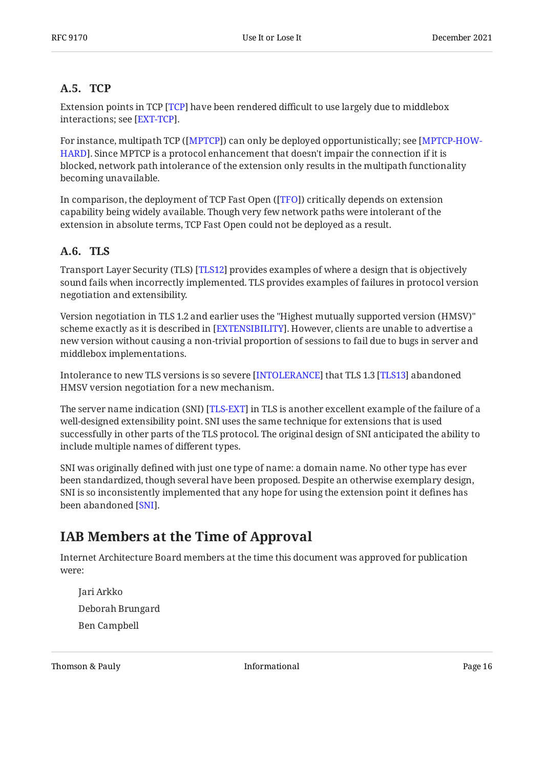#### <span id="page-15-0"></span>**[A.5. TCP](#page-15-0)**

Extension points in TCP [TCP] have been rendered difficult to use largely due to middlebox interactions; see [EXT-TCP].

For instance, multipath TCP ([MPTCP]) can only be deployed opportunistically; see [[MPTCP-HOW-](#page-11-10)[HARD](#page-11-10)]. Since MPTCP is a protocol enhancement that doesn't impair the connection if it is blocked, network path intolerance of the extension only results in the multipath functionality becoming unavailable.

In comparison, the deployment of TCP Fast Open ([TFO]) critically depends on extension capability being widely available. Though very few network paths were intolerant of the extension in absolute terms, TCP Fast Open could not be deployed as a result.

#### <span id="page-15-1"></span>**[A.6. TLS](#page-15-1)**

Transport Layer Security (TLS) [TLS12] provides examples of where a design that is objectively sound fails when incorrectly implemented. TLS provides examples of failures in protocol version negotiation and extensibility.

Version negotiation in TLS 1.2 and earlier uses the "Highest mutually supported version (HMSV)" scheme exactly as it is described in [[EXTENSIBILITY\]](#page-11-0). However, clients are unable to advertise a new version without causing a non-trivial proportion of sessions to fail due to bugs in server and middlebox implementations.

Intolerance to new TLS versions is so severe [INTOLERANCE] that TLS 1.3 [TLS13] abandoned HMSV version negotiation for a new mechanism.

The server name indication (SNI) [\[TLS-EXT](#page-13-10)] in TLS is another excellent example of the failure of a well-designed extensibility point. SNI uses the same technique for extensions that is used successfully in other parts of the TLS protocol. The original design of SNI anticipated the ability to include multiple names of different types.

SNI was originally defined with just one type of name: a domain name. No other type has ever been standardized, though several have been proposed. Despite an otherwise exemplary design, SNI is so inconsistently implemented that any hope for using the extension point it defines has been abandoned [\[SNI](#page-12-14)].

# <span id="page-15-2"></span>**[IAB Members at the Time of Approval](#page-15-2)**

Internet Architecture Board members at the time this document was approved for publication were:

Jari Arkko Deborah Brungard Ben Campbell

Thomson & Pauly **Informational** Page 16 and Page 16